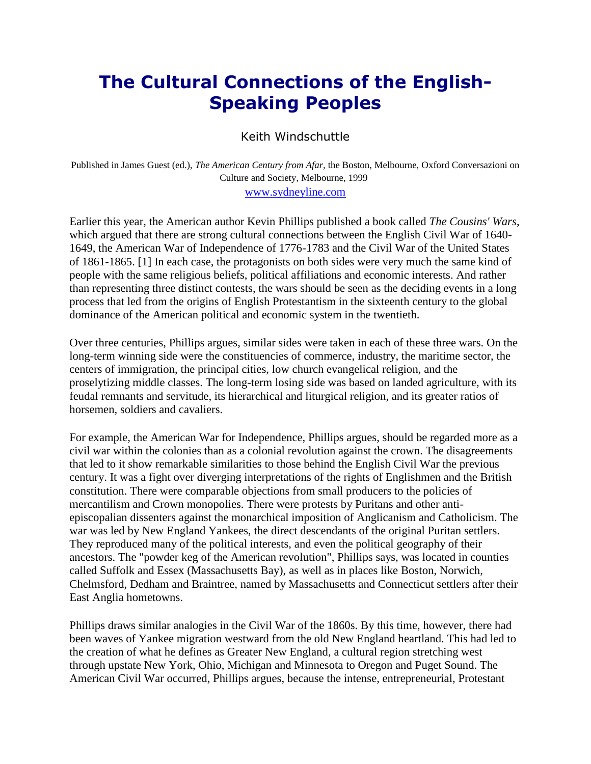## **The Cultural Connections of the English-Speaking Peoples**

## Keith Windschuttle

Published in James Guest (ed.), *The American Century from Afar,* the Boston, Melbourne, Oxford Conversazioni on Culture and Society, Melbourne, 1999

## [www.sydneyline.com](http://www.sydneyline.com/)

Earlier this year, the American author Kevin Phillips published a book called *The Cousins' Wars*, which argued that there are strong cultural connections between the English Civil War of 1640- 1649, the American War of Independence of 1776-1783 and the Civil War of the United States of 1861-1865. [1] In each case, the protagonists on both sides were very much the same kind of people with the same religious beliefs, political affiliations and economic interests. And rather than representing three distinct contests, the wars should be seen as the deciding events in a long process that led from the origins of English Protestantism in the sixteenth century to the global dominance of the American political and economic system in the twentieth.

Over three centuries, Phillips argues, similar sides were taken in each of these three wars. On the long-term winning side were the constituencies of commerce, industry, the maritime sector, the centers of immigration, the principal cities, low church evangelical religion, and the proselytizing middle classes. The long-term losing side was based on landed agriculture, with its feudal remnants and servitude, its hierarchical and liturgical religion, and its greater ratios of horsemen, soldiers and cavaliers.

For example, the American War for Independence, Phillips argues, should be regarded more as a civil war within the colonies than as a colonial revolution against the crown. The disagreements that led to it show remarkable similarities to those behind the English Civil War the previous century. It was a fight over diverging interpretations of the rights of Englishmen and the British constitution. There were comparable objections from small producers to the policies of mercantilism and Crown monopolies. There were protests by Puritans and other antiepiscopalian dissenters against the monarchical imposition of Anglicanism and Catholicism. The war was led by New England Yankees, the direct descendants of the original Puritan settlers. They reproduced many of the political interests, and even the political geography of their ancestors. The "powder keg of the American revolution", Phillips says, was located in counties called Suffolk and Essex (Massachusetts Bay), as well as in places like Boston, Norwich, Chelmsford, Dedham and Braintree, named by Massachusetts and Connecticut settlers after their East Anglia hometowns.

Phillips draws similar analogies in the Civil War of the 1860s. By this time, however, there had been waves of Yankee migration westward from the old New England heartland. This had led to the creation of what he defines as Greater New England, a cultural region stretching west through upstate New York, Ohio, Michigan and Minnesota to Oregon and Puget Sound. The American Civil War occurred, Phillips argues, because the intense, entrepreneurial, Protestant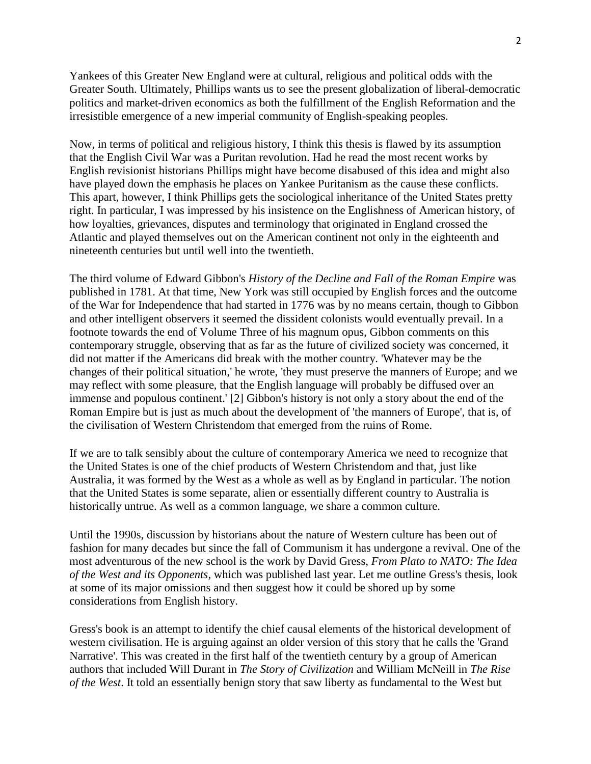Yankees of this Greater New England were at cultural, religious and political odds with the Greater South. Ultimately, Phillips wants us to see the present globalization of liberal-democratic politics and market-driven economics as both the fulfillment of the English Reformation and the irresistible emergence of a new imperial community of English-speaking peoples.

Now, in terms of political and religious history, I think this thesis is flawed by its assumption that the English Civil War was a Puritan revolution. Had he read the most recent works by English revisionist historians Phillips might have become disabused of this idea and might also have played down the emphasis he places on Yankee Puritanism as the cause these conflicts. This apart, however, I think Phillips gets the sociological inheritance of the United States pretty right. In particular, I was impressed by his insistence on the Englishness of American history, of how loyalties, grievances, disputes and terminology that originated in England crossed the Atlantic and played themselves out on the American continent not only in the eighteenth and nineteenth centuries but until well into the twentieth.

The third volume of Edward Gibbon's *History of the Decline and Fall of the Roman Empire* was published in 1781. At that time, New York was still occupied by English forces and the outcome of the War for Independence that had started in 1776 was by no means certain, though to Gibbon and other intelligent observers it seemed the dissident colonists would eventually prevail. In a footnote towards the end of Volume Three of his magnum opus, Gibbon comments on this contemporary struggle, observing that as far as the future of civilized society was concerned, it did not matter if the Americans did break with the mother country. 'Whatever may be the changes of their political situation,' he wrote, 'they must preserve the manners of Europe; and we may reflect with some pleasure, that the English language will probably be diffused over an immense and populous continent.' [2] Gibbon's history is not only a story about the end of the Roman Empire but is just as much about the development of 'the manners of Europe', that is, of the civilisation of Western Christendom that emerged from the ruins of Rome.

If we are to talk sensibly about the culture of contemporary America we need to recognize that the United States is one of the chief products of Western Christendom and that, just like Australia, it was formed by the West as a whole as well as by England in particular. The notion that the United States is some separate, alien or essentially different country to Australia is historically untrue. As well as a common language, we share a common culture.

Until the 1990s, discussion by historians about the nature of Western culture has been out of fashion for many decades but since the fall of Communism it has undergone a revival. One of the most adventurous of the new school is the work by David Gress, *From Plato to NATO: The Idea of the West and its Opponents*, which was published last year. Let me outline Gress's thesis, look at some of its major omissions and then suggest how it could be shored up by some considerations from English history.

Gress's book is an attempt to identify the chief causal elements of the historical development of western civilisation. He is arguing against an older version of this story that he calls the 'Grand Narrative'. This was created in the first half of the twentieth century by a group of American authors that included Will Durant in *The Story of Civilization* and William McNeill in *The Rise of the West*. It told an essentially benign story that saw liberty as fundamental to the West but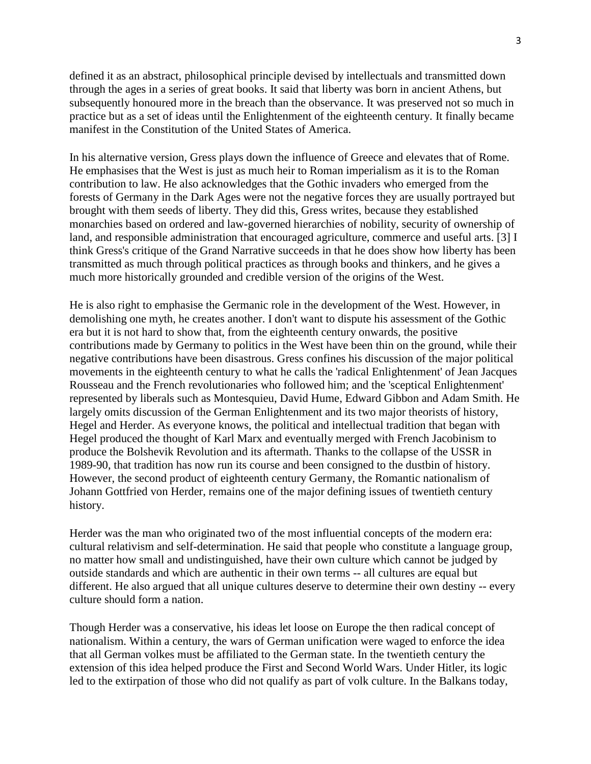defined it as an abstract, philosophical principle devised by intellectuals and transmitted down through the ages in a series of great books. It said that liberty was born in ancient Athens, but subsequently honoured more in the breach than the observance. It was preserved not so much in practice but as a set of ideas until the Enlightenment of the eighteenth century. It finally became manifest in the Constitution of the United States of America.

In his alternative version, Gress plays down the influence of Greece and elevates that of Rome. He emphasises that the West is just as much heir to Roman imperialism as it is to the Roman contribution to law. He also acknowledges that the Gothic invaders who emerged from the forests of Germany in the Dark Ages were not the negative forces they are usually portrayed but brought with them seeds of liberty. They did this, Gress writes, because they established monarchies based on ordered and law-governed hierarchies of nobility, security of ownership of land, and responsible administration that encouraged agriculture, commerce and useful arts. [3] I think Gress's critique of the Grand Narrative succeeds in that he does show how liberty has been transmitted as much through political practices as through books and thinkers, and he gives a much more historically grounded and credible version of the origins of the West.

He is also right to emphasise the Germanic role in the development of the West. However, in demolishing one myth, he creates another. I don't want to dispute his assessment of the Gothic era but it is not hard to show that, from the eighteenth century onwards, the positive contributions made by Germany to politics in the West have been thin on the ground, while their negative contributions have been disastrous. Gress confines his discussion of the major political movements in the eighteenth century to what he calls the 'radical Enlightenment' of Jean Jacques Rousseau and the French revolutionaries who followed him; and the 'sceptical Enlightenment' represented by liberals such as Montesquieu, David Hume, Edward Gibbon and Adam Smith. He largely omits discussion of the German Enlightenment and its two major theorists of history, Hegel and Herder. As everyone knows, the political and intellectual tradition that began with Hegel produced the thought of Karl Marx and eventually merged with French Jacobinism to produce the Bolshevik Revolution and its aftermath. Thanks to the collapse of the USSR in 1989-90, that tradition has now run its course and been consigned to the dustbin of history. However, the second product of eighteenth century Germany, the Romantic nationalism of Johann Gottfried von Herder, remains one of the major defining issues of twentieth century history.

Herder was the man who originated two of the most influential concepts of the modern era: cultural relativism and self-determination. He said that people who constitute a language group, no matter how small and undistinguished, have their own culture which cannot be judged by outside standards and which are authentic in their own terms -- all cultures are equal but different. He also argued that all unique cultures deserve to determine their own destiny -- every culture should form a nation.

Though Herder was a conservative, his ideas let loose on Europe the then radical concept of nationalism. Within a century, the wars of German unification were waged to enforce the idea that all German volkes must be affiliated to the German state. In the twentieth century the extension of this idea helped produce the First and Second World Wars. Under Hitler, its logic led to the extirpation of those who did not qualify as part of volk culture. In the Balkans today,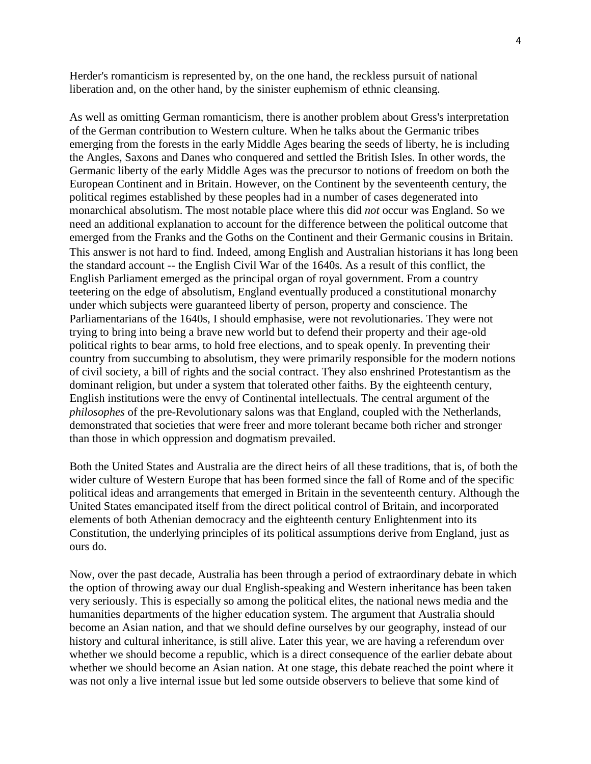Herder's romanticism is represented by, on the one hand, the reckless pursuit of national liberation and, on the other hand, by the sinister euphemism of ethnic cleansing.

As well as omitting German romanticism, there is another problem about Gress's interpretation of the German contribution to Western culture. When he talks about the Germanic tribes emerging from the forests in the early Middle Ages bearing the seeds of liberty, he is including the Angles, Saxons and Danes who conquered and settled the British Isles. In other words, the Germanic liberty of the early Middle Ages was the precursor to notions of freedom on both the European Continent and in Britain. However, on the Continent by the seventeenth century, the political regimes established by these peoples had in a number of cases degenerated into monarchical absolutism. The most notable place where this did *not* occur was England. So we need an additional explanation to account for the difference between the political outcome that emerged from the Franks and the Goths on the Continent and their Germanic cousins in Britain. This answer is not hard to find. Indeed, among English and Australian historians it has long been the standard account -- the English Civil War of the 1640s. As a result of this conflict, the English Parliament emerged as the principal organ of royal government. From a country teetering on the edge of absolutism, England eventually produced a constitutional monarchy under which subjects were guaranteed liberty of person, property and conscience. The Parliamentarians of the 1640s, I should emphasise, were not revolutionaries. They were not trying to bring into being a brave new world but to defend their property and their age-old political rights to bear arms, to hold free elections, and to speak openly. In preventing their country from succumbing to absolutism, they were primarily responsible for the modern notions of civil society, a bill of rights and the social contract. They also enshrined Protestantism as the dominant religion, but under a system that tolerated other faiths. By the eighteenth century, English institutions were the envy of Continental intellectuals. The central argument of the *philosophes* of the pre-Revolutionary salons was that England, coupled with the Netherlands, demonstrated that societies that were freer and more tolerant became both richer and stronger than those in which oppression and dogmatism prevailed.

Both the United States and Australia are the direct heirs of all these traditions, that is, of both the wider culture of Western Europe that has been formed since the fall of Rome and of the specific political ideas and arrangements that emerged in Britain in the seventeenth century. Although the United States emancipated itself from the direct political control of Britain, and incorporated elements of both Athenian democracy and the eighteenth century Enlightenment into its Constitution, the underlying principles of its political assumptions derive from England, just as ours do.

Now, over the past decade, Australia has been through a period of extraordinary debate in which the option of throwing away our dual English-speaking and Western inheritance has been taken very seriously. This is especially so among the political elites, the national news media and the humanities departments of the higher education system. The argument that Australia should become an Asian nation, and that we should define ourselves by our geography, instead of our history and cultural inheritance, is still alive. Later this year, we are having a referendum over whether we should become a republic, which is a direct consequence of the earlier debate about whether we should become an Asian nation. At one stage, this debate reached the point where it was not only a live internal issue but led some outside observers to believe that some kind of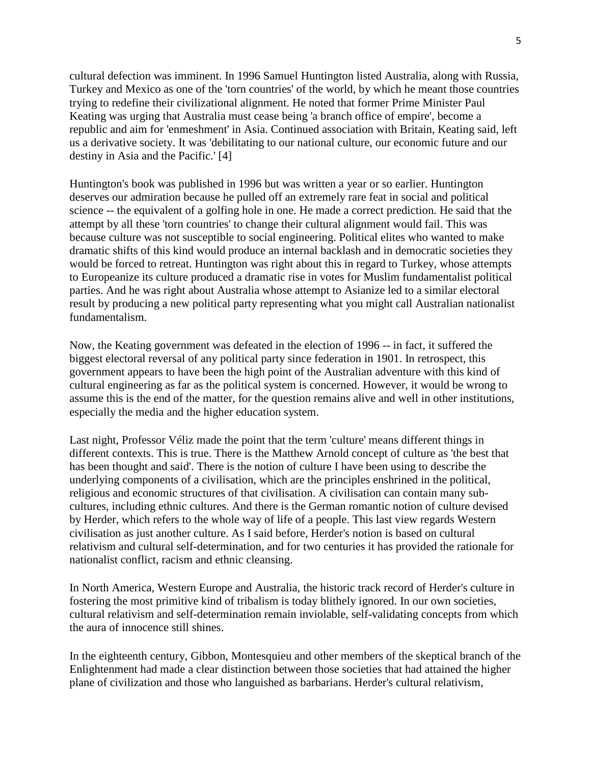cultural defection was imminent. In 1996 Samuel Huntington listed Australia, along with Russia, Turkey and Mexico as one of the 'torn countries' of the world, by which he meant those countries trying to redefine their civilizational alignment. He noted that former Prime Minister Paul Keating was urging that Australia must cease being 'a branch office of empire', become a republic and aim for 'enmeshment' in Asia. Continued association with Britain, Keating said, left us a derivative society. It was 'debilitating to our national culture, our economic future and our destiny in Asia and the Pacific.' [4]

Huntington's book was published in 1996 but was written a year or so earlier. Huntington deserves our admiration because he pulled off an extremely rare feat in social and political science -- the equivalent of a golfing hole in one. He made a correct prediction. He said that the attempt by all these 'torn countries' to change their cultural alignment would fail. This was because culture was not susceptible to social engineering. Political elites who wanted to make dramatic shifts of this kind would produce an internal backlash and in democratic societies they would be forced to retreat. Huntington was right about this in regard to Turkey, whose attempts to Europeanize its culture produced a dramatic rise in votes for Muslim fundamentalist political parties. And he was right about Australia whose attempt to Asianize led to a similar electoral result by producing a new political party representing what you might call Australian nationalist fundamentalism.

Now, the Keating government was defeated in the election of 1996 -- in fact, it suffered the biggest electoral reversal of any political party since federation in 1901. In retrospect, this government appears to have been the high point of the Australian adventure with this kind of cultural engineering as far as the political system is concerned. However, it would be wrong to assume this is the end of the matter, for the question remains alive and well in other institutions, especially the media and the higher education system.

Last night, Professor Véliz made the point that the term 'culture' means different things in different contexts. This is true. There is the Matthew Arnold concept of culture as 'the best that has been thought and said'. There is the notion of culture I have been using to describe the underlying components of a civilisation, which are the principles enshrined in the political, religious and economic structures of that civilisation. A civilisation can contain many subcultures, including ethnic cultures. And there is the German romantic notion of culture devised by Herder, which refers to the whole way of life of a people. This last view regards Western civilisation as just another culture. As I said before, Herder's notion is based on cultural relativism and cultural self-determination, and for two centuries it has provided the rationale for nationalist conflict, racism and ethnic cleansing.

In North America, Western Europe and Australia, the historic track record of Herder's culture in fostering the most primitive kind of tribalism is today blithely ignored. In our own societies, cultural relativism and self-determination remain inviolable, self-validating concepts from which the aura of innocence still shines.

In the eighteenth century, Gibbon, Montesquieu and other members of the skeptical branch of the Enlightenment had made a clear distinction between those societies that had attained the higher plane of civilization and those who languished as barbarians. Herder's cultural relativism,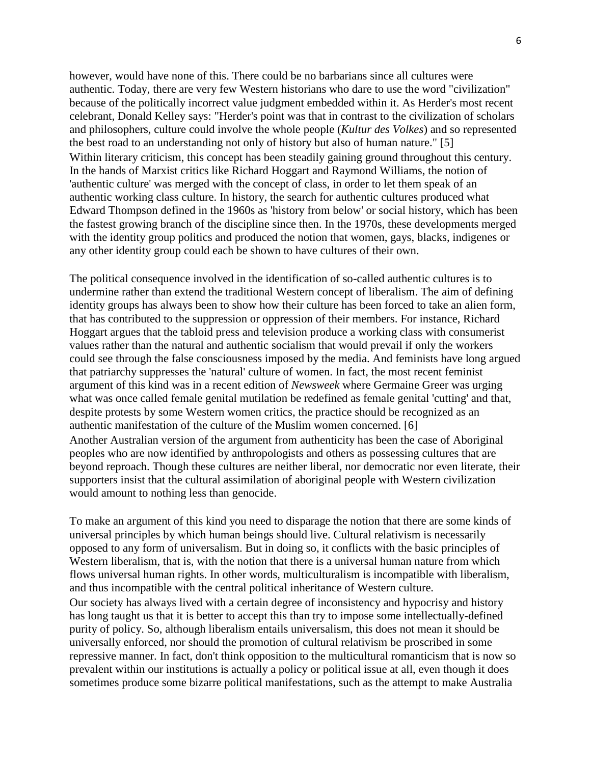however, would have none of this. There could be no barbarians since all cultures were authentic. Today, there are very few Western historians who dare to use the word "civilization" because of the politically incorrect value judgment embedded within it. As Herder's most recent celebrant, Donald Kelley says: "Herder's point was that in contrast to the civilization of scholars and philosophers, culture could involve the whole people (*Kultur des Volkes*) and so represented the best road to an understanding not only of history but also of human nature." [5] Within literary criticism, this concept has been steadily gaining ground throughout this century. In the hands of Marxist critics like Richard Hoggart and Raymond Williams, the notion of 'authentic culture' was merged with the concept of class, in order to let them speak of an authentic working class culture. In history, the search for authentic cultures produced what Edward Thompson defined in the 1960s as 'history from below' or social history, which has been the fastest growing branch of the discipline since then. In the 1970s, these developments merged with the identity group politics and produced the notion that women, gays, blacks, indigenes or any other identity group could each be shown to have cultures of their own.

The political consequence involved in the identification of so-called authentic cultures is to undermine rather than extend the traditional Western concept of liberalism. The aim of defining identity groups has always been to show how their culture has been forced to take an alien form, that has contributed to the suppression or oppression of their members. For instance, Richard Hoggart argues that the tabloid press and television produce a working class with consumerist values rather than the natural and authentic socialism that would prevail if only the workers could see through the false consciousness imposed by the media. And feminists have long argued that patriarchy suppresses the 'natural' culture of women. In fact, the most recent feminist argument of this kind was in a recent edition of *Newsweek* where Germaine Greer was urging what was once called female genital mutilation be redefined as female genital 'cutting' and that, despite protests by some Western women critics, the practice should be recognized as an authentic manifestation of the culture of the Muslim women concerned. [6] Another Australian version of the argument from authenticity has been the case of Aboriginal peoples who are now identified by anthropologists and others as possessing cultures that are beyond reproach. Though these cultures are neither liberal, nor democratic nor even literate, their supporters insist that the cultural assimilation of aboriginal people with Western civilization would amount to nothing less than genocide.

To make an argument of this kind you need to disparage the notion that there are some kinds of universal principles by which human beings should live. Cultural relativism is necessarily opposed to any form of universalism. But in doing so, it conflicts with the basic principles of Western liberalism, that is, with the notion that there is a universal human nature from which flows universal human rights. In other words, multiculturalism is incompatible with liberalism, and thus incompatible with the central political inheritance of Western culture. Our society has always lived with a certain degree of inconsistency and hypocrisy and history has long taught us that it is better to accept this than try to impose some intellectually-defined purity of policy. So, although liberalism entails universalism, this does not mean it should be universally enforced, nor should the promotion of cultural relativism be proscribed in some repressive manner. In fact, don't think opposition to the multicultural romanticism that is now so prevalent within our institutions is actually a policy or political issue at all, even though it does sometimes produce some bizarre political manifestations, such as the attempt to make Australia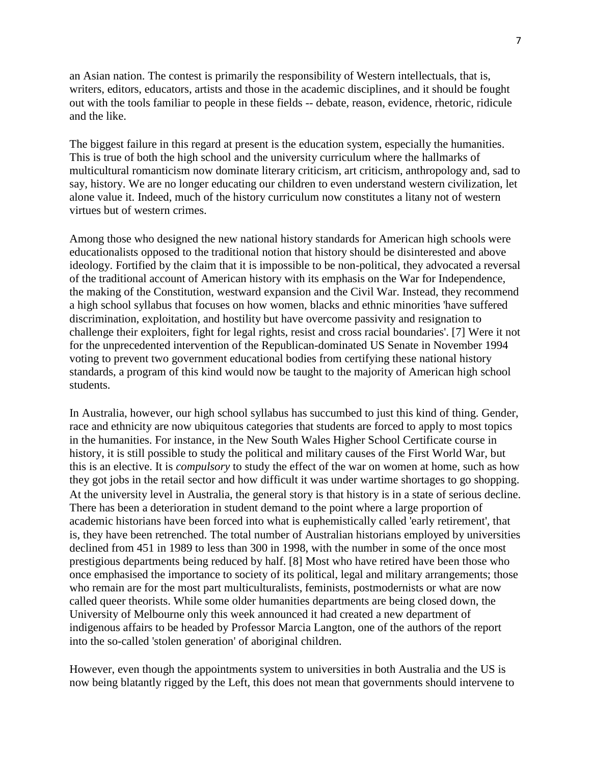an Asian nation. The contest is primarily the responsibility of Western intellectuals, that is, writers, editors, educators, artists and those in the academic disciplines, and it should be fought out with the tools familiar to people in these fields -- debate, reason, evidence, rhetoric, ridicule and the like.

The biggest failure in this regard at present is the education system, especially the humanities. This is true of both the high school and the university curriculum where the hallmarks of multicultural romanticism now dominate literary criticism, art criticism, anthropology and, sad to say, history. We are no longer educating our children to even understand western civilization, let alone value it. Indeed, much of the history curriculum now constitutes a litany not of western virtues but of western crimes.

Among those who designed the new national history standards for American high schools were educationalists opposed to the traditional notion that history should be disinterested and above ideology. Fortified by the claim that it is impossible to be non-political, they advocated a reversal of the traditional account of American history with its emphasis on the War for Independence, the making of the Constitution, westward expansion and the Civil War. Instead, they recommend a high school syllabus that focuses on how women, blacks and ethnic minorities 'have suffered discrimination, exploitation, and hostility but have overcome passivity and resignation to challenge their exploiters, fight for legal rights, resist and cross racial boundaries'. [7] Were it not for the unprecedented intervention of the Republican-dominated US Senate in November 1994 voting to prevent two government educational bodies from certifying these national history standards, a program of this kind would now be taught to the majority of American high school students.

In Australia, however, our high school syllabus has succumbed to just this kind of thing. Gender, race and ethnicity are now ubiquitous categories that students are forced to apply to most topics in the humanities. For instance, in the New South Wales Higher School Certificate course in history, it is still possible to study the political and military causes of the First World War, but this is an elective. It is *compulsory* to study the effect of the war on women at home, such as how they got jobs in the retail sector and how difficult it was under wartime shortages to go shopping. At the university level in Australia, the general story is that history is in a state of serious decline. There has been a deterioration in student demand to the point where a large proportion of academic historians have been forced into what is euphemistically called 'early retirement', that is, they have been retrenched. The total number of Australian historians employed by universities declined from 451 in 1989 to less than 300 in 1998, with the number in some of the once most prestigious departments being reduced by half. [8] Most who have retired have been those who once emphasised the importance to society of its political, legal and military arrangements; those who remain are for the most part multiculturalists, feminists, postmodernists or what are now called queer theorists. While some older humanities departments are being closed down, the University of Melbourne only this week announced it had created a new department of indigenous affairs to be headed by Professor Marcia Langton, one of the authors of the report into the so-called 'stolen generation' of aboriginal children.

However, even though the appointments system to universities in both Australia and the US is now being blatantly rigged by the Left, this does not mean that governments should intervene to